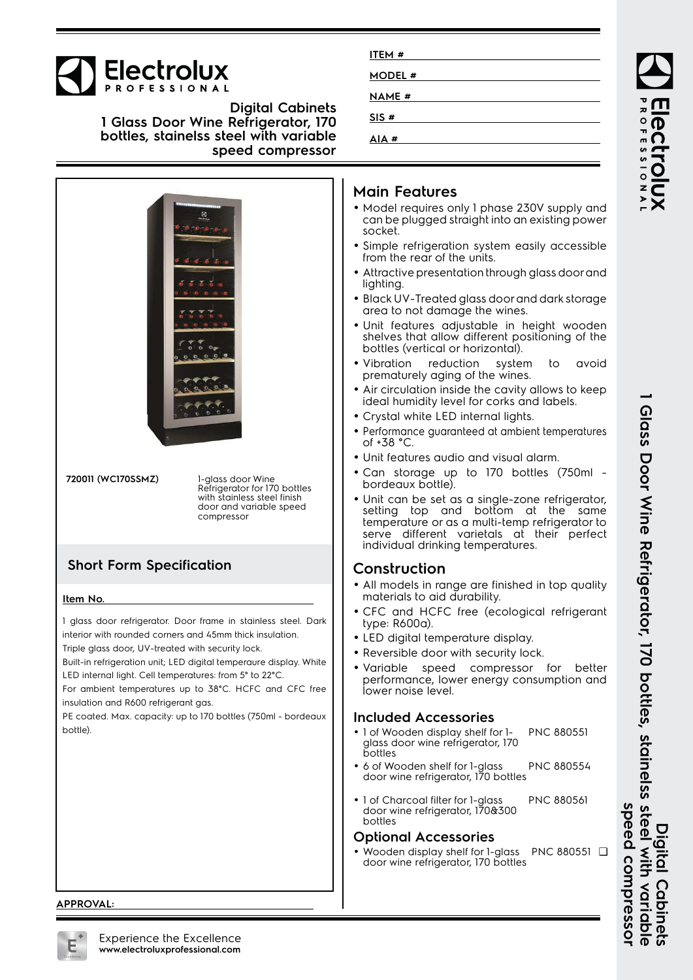

**Digital Cabinets 1 Glass Door Wine Refrigerator, 170 bottles, stainelss steel with variable speed compressor**



**ITEM # MODEL # NAME # SIS # AIA #**

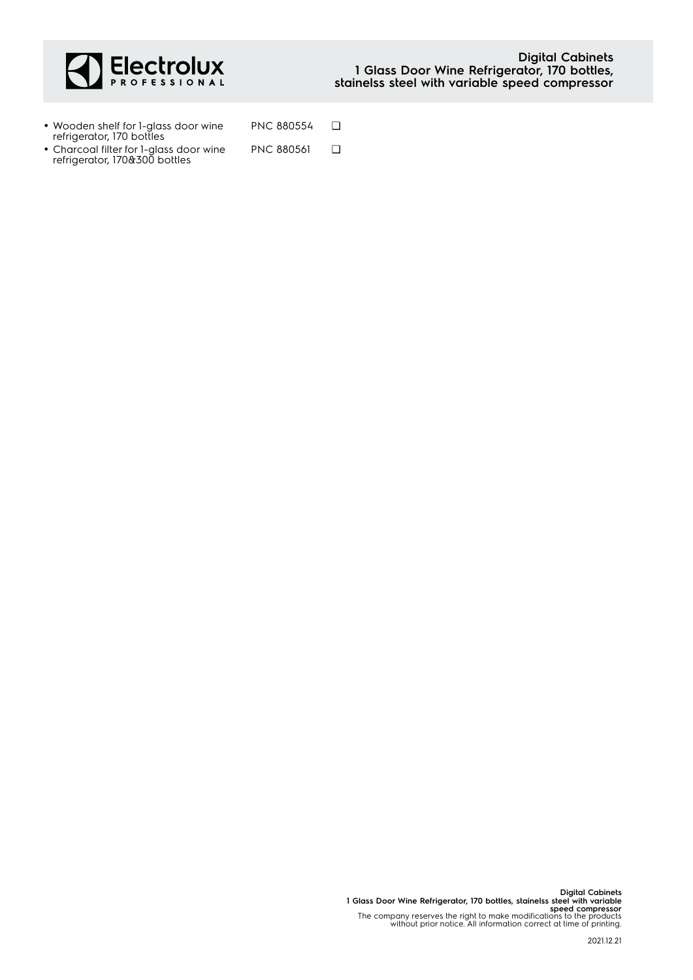

refrigerator, 170&300 bottles

| • Wooden shelf for 1-glass door wine<br>refrigerator, 170 bottles | PNC 880554        |  |
|-------------------------------------------------------------------|-------------------|--|
| • Charcoal filter for 1-glass door wine                           | <b>PNC 880561</b> |  |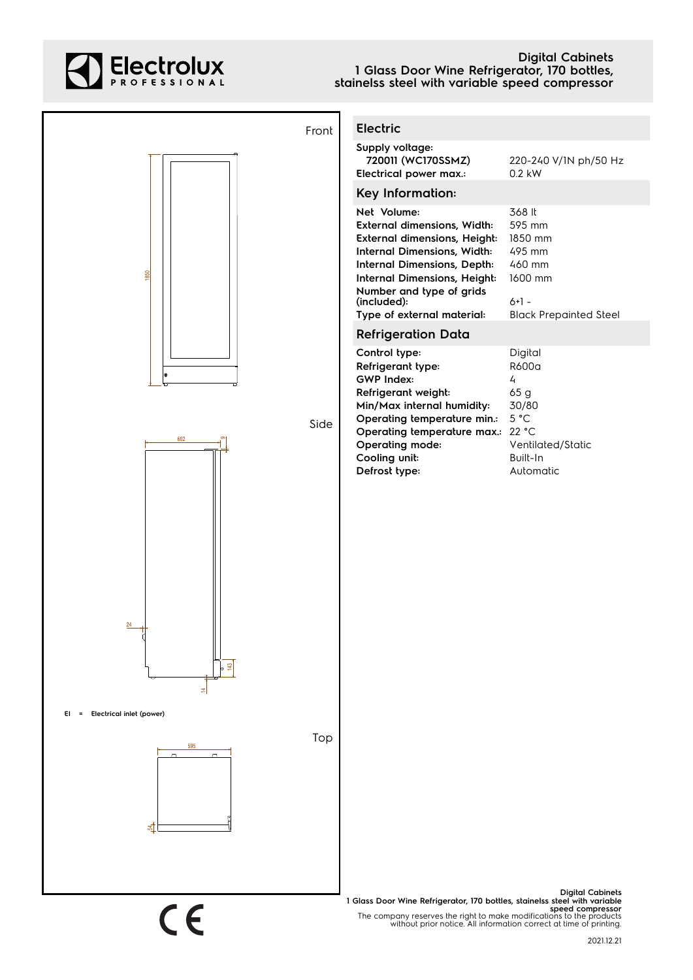

## **Digital Cabinets 1 Glass Door Wine Refrigerator, 170 bottles, stainelss steel with variable speed compressor**

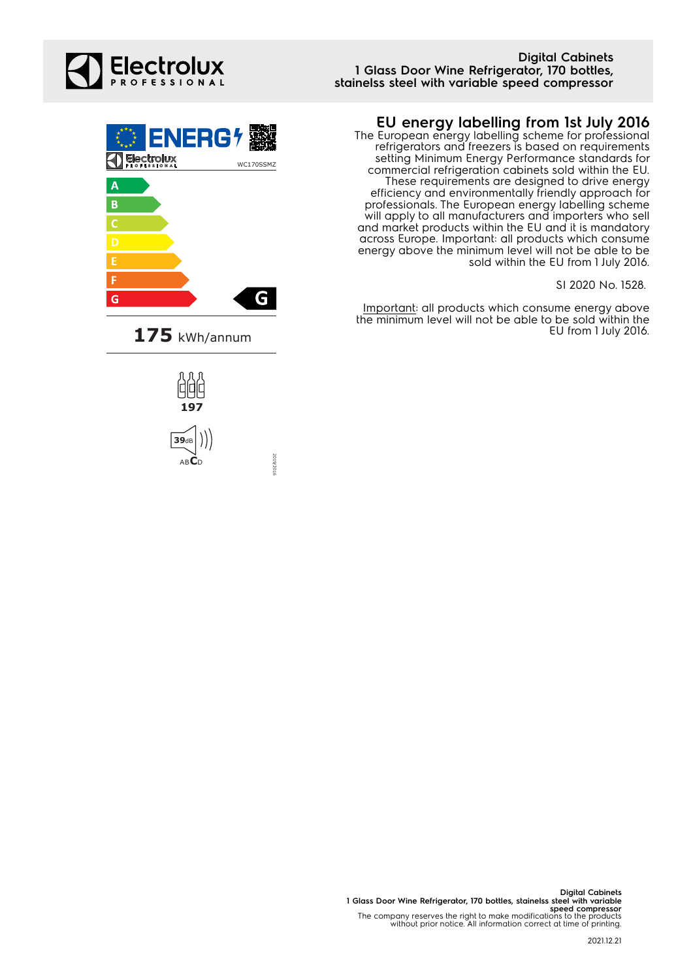## **Digital Cabinets 1 Glass Door Wine Refrigerator, 170 bottles, stainelss steel with variable speed compressor**



The European energy labelling scheme for professional refrigerators and freezers is based on requirements setting Minimum Energy Performance standards for commercial refrigeration cabinets sold within the EU. These requirements are designed to drive energy efficiency and environmentally friendly approach for professionals. The European energy labelling scheme will apply to all manufacturers and importers who sell and market products within the EU and it is mandatory across Europe. Important: all products which consume energy above the minimum level will not be able to be sold within the EU from 1 July 2016.

SI 2020 No. 1528.

Important: all products which consume energy above the minimum level will not be able to be sold within the EU from 1 July 2016.









2019/2016